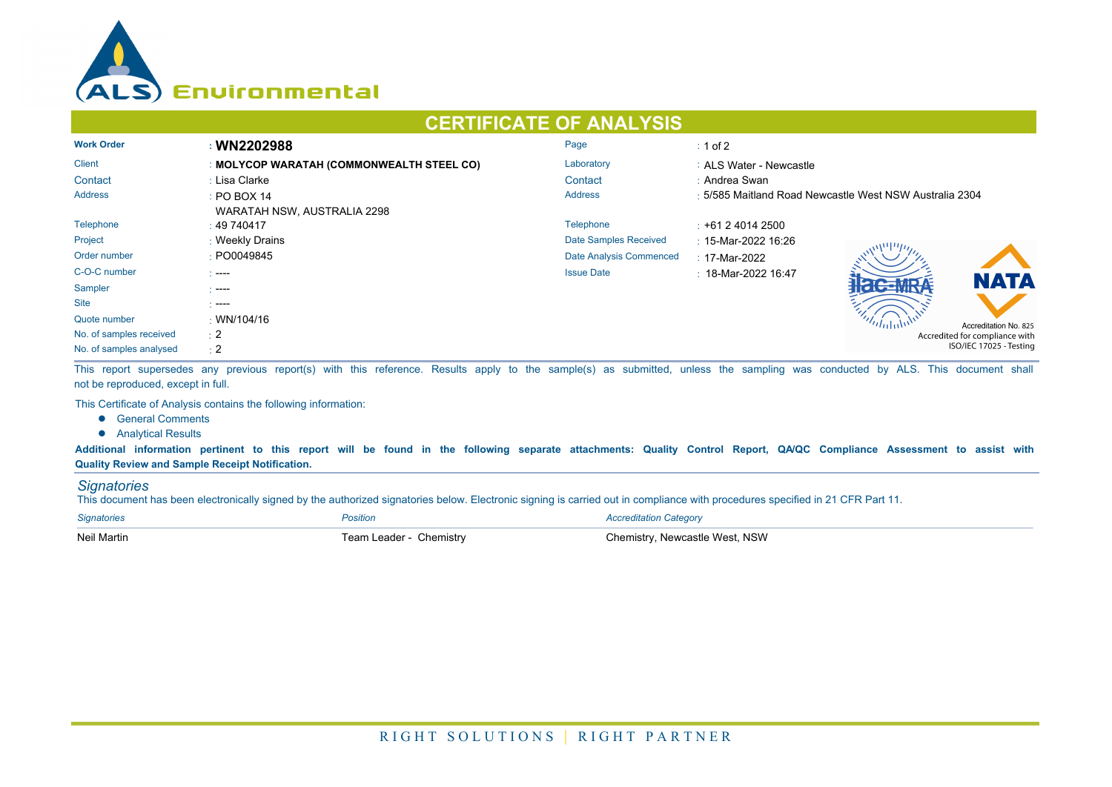

## **CERTIFICATE OF ANALYSIS**

| <b>Work Order</b>       | : WN2202988                               | Page                    | $\div$ 1 of 2                                           |  |  |
|-------------------------|-------------------------------------------|-------------------------|---------------------------------------------------------|--|--|
| <b>Client</b>           | : MOLYCOP WARATAH (COMMONWEALTH STEEL CO) | Laboratory              | : ALS Water - Newcastle                                 |  |  |
| Contact                 | : Lisa Clarke                             | Contact                 | : Andrea Swan                                           |  |  |
| <b>Address</b>          | $\div$ PO BOX 14                          | <b>Address</b>          | : 5/585 Maitland Road Newcastle West NSW Australia 2304 |  |  |
|                         | WARATAH NSW, AUSTRALIA 2298               |                         |                                                         |  |  |
| Telephone               | : 49740417                                | Telephone               | $\div$ +61 2 4014 2500                                  |  |  |
| Project                 | : Weekly Drains                           | Date Samples Received   | : 15-Mar-2022 16:26                                     |  |  |
| Order number            | : PO0049845                               | Date Analysis Commenced | : 17-Mar-2022                                           |  |  |
| C-O-C number            | $\sim$ ----                               | <b>Issue Date</b>       | $\pm$ 18-Mar-2022 16:47<br><b>NATA</b>                  |  |  |
| Sampler                 | - ----                                    |                         |                                                         |  |  |
| <b>Site</b>             | - ----                                    |                         |                                                         |  |  |
| Quote number            | $\cdot$ WN/104/16                         |                         | Accreditation No. 825                                   |  |  |
| No. of samples received | $\div 2$                                  |                         | Accredited for compliance with                          |  |  |
| No. of samples analysed | $\div 2$                                  |                         | ISO/IEC 17025 - Testing                                 |  |  |

This report supersedes any previous report(s) with this reference. Results apply to the sample(s) as submitted, unless the sampling was conducted by ALS. This document shall not be reproduced, except in full.

This Certificate of Analysis contains the following information:

- **•** General Comments
- **•** Analytical Results

**Additional information pertinent to this report will be found in the following separate attachments: Quality Control Report, QA/QC Compliance Assessment to assist with Quality Review and Sample Receipt Notification.**

## *Signatories*

This document has been electronically signed by the authorized signatories below. Electronic signing is carried out in compliance with procedures specified in 21 CFR Part 11.

| <b>Signatories</b> | Position                | <b>Accreditation Category</b>  |
|--------------------|-------------------------|--------------------------------|
| Neil Martin        | Team Leader - Chemistry | Chemistry, Newcastle West, NSW |